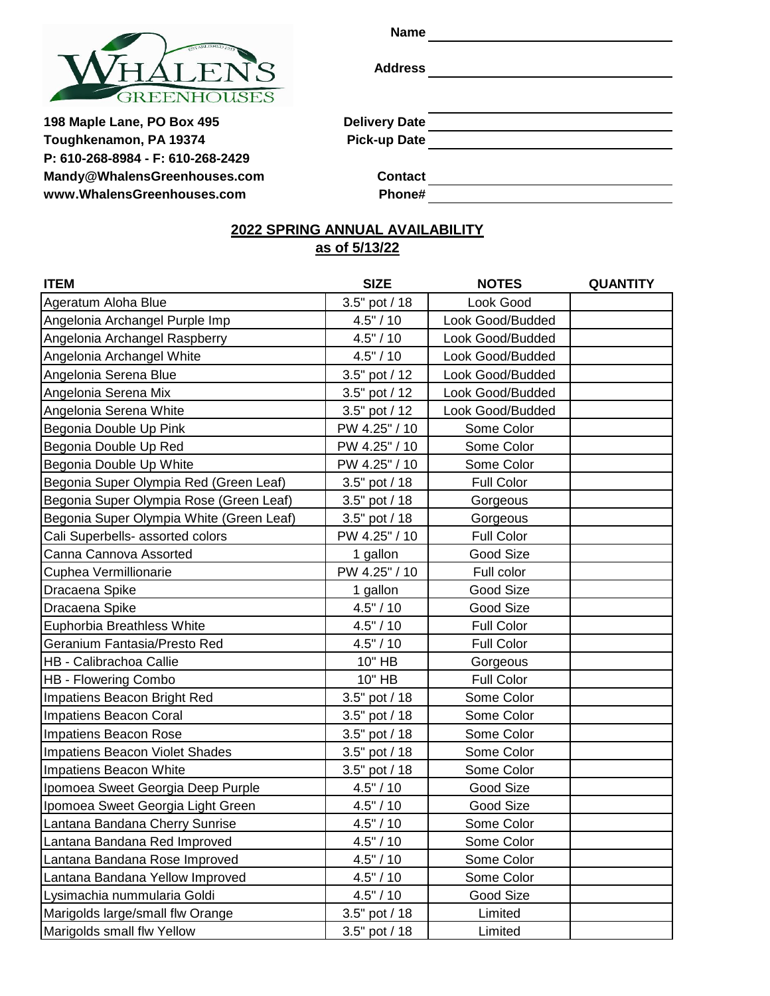

**Name**

**Address**

198 Maple Lane, PO Box 495 **Delivery Date Toughkenamon, PA 19374 Pick-up Date P: 610-268-8984 - F: 610-268-2429 [Mandy@WhalensGreenhouses.com](mailto:Mandy@WhalensGreenhouses.com) Contact [www.WhalensGreenhouses.com](http://www.whalensgreenhouses.com/) Phone#**

# **2022 SPRING ANNUAL AVAILABILITY**

# **as of 5/13/22**

| <b>ITEM</b>                              | <b>SIZE</b><br><b>NOTES</b> |                   | <b>QUANTITY</b> |
|------------------------------------------|-----------------------------|-------------------|-----------------|
| Ageratum Aloha Blue                      | 3.5" pot / 18               | Look Good         |                 |
| Angelonia Archangel Purple Imp           | 4.5" / 10                   | Look Good/Budded  |                 |
| Angelonia Archangel Raspberry            | 4.5" / 10                   | Look Good/Budded  |                 |
| Angelonia Archangel White                | 4.5" / 10                   | Look Good/Budded  |                 |
| Angelonia Serena Blue                    | 3.5" pot / 12               | Look Good/Budded  |                 |
| Angelonia Serena Mix                     | 3.5" pot / 12               | Look Good/Budded  |                 |
| Angelonia Serena White                   | 3.5" pot / 12               | Look Good/Budded  |                 |
| Begonia Double Up Pink                   | PW 4.25" / 10               | Some Color        |                 |
| Begonia Double Up Red                    | PW 4.25" / 10               | Some Color        |                 |
| Begonia Double Up White                  | PW 4.25" / 10               | Some Color        |                 |
| Begonia Super Olympia Red (Green Leaf)   | 3.5" pot / 18               | Full Color        |                 |
| Begonia Super Olympia Rose (Green Leaf)  | 3.5" pot / 18               | Gorgeous          |                 |
| Begonia Super Olympia White (Green Leaf) | 3.5" pot / 18               | Gorgeous          |                 |
| Cali Superbells- assorted colors         | PW 4.25" / 10               | Full Color        |                 |
| Canna Cannova Assorted                   | 1 gallon                    | Good Size         |                 |
| Cuphea Vermillionarie                    | PW 4.25" / 10               | Full color        |                 |
| Dracaena Spike                           | 1 gallon                    | Good Size         |                 |
| Dracaena Spike                           | 4.5" / 10                   | Good Size         |                 |
| Euphorbia Breathless White               | 4.5" / 10                   | <b>Full Color</b> |                 |
| Geranium Fantasia/Presto Red             | 4.5" / 10                   | <b>Full Color</b> |                 |
| HB - Calibrachoa Callie                  | 10" HB                      | Gorgeous          |                 |
| <b>HB - Flowering Combo</b>              | 10" HB                      | <b>Full Color</b> |                 |
| Impatiens Beacon Bright Red              | 3.5" pot / 18               | Some Color        |                 |
| Impatiens Beacon Coral                   | 3.5" pot / 18               | Some Color        |                 |
| Impatiens Beacon Rose                    | 3.5" pot / 18               | Some Color        |                 |
| Impatiens Beacon Violet Shades           | 3.5" pot / 18               | Some Color        |                 |
| Impatiens Beacon White                   | 3.5" pot / 18               | Some Color        |                 |
| Ipomoea Sweet Georgia Deep Purple        | 4.5" / 10                   | Good Size         |                 |
| Ipomoea Sweet Georgia Light Green        | 4.5" / 10                   | Good Size         |                 |
| Lantana Bandana Cherry Sunrise           | 4.5" / 10                   | Some Color        |                 |
| Lantana Bandana Red Improved             | 4.5" / 10                   | Some Color        |                 |
| Lantana Bandana Rose Improved            | 4.5" / 10                   | Some Color        |                 |
| Lantana Bandana Yellow Improved          | 4.5" / 10                   | Some Color        |                 |
| Lysimachia nummularia Goldi              | 4.5" / 10                   | Good Size         |                 |
| Marigolds large/small flw Orange         | 3.5" pot / 18               | Limited           |                 |
| Marigolds small flw Yellow               | 3.5" pot / 18               | Limited           |                 |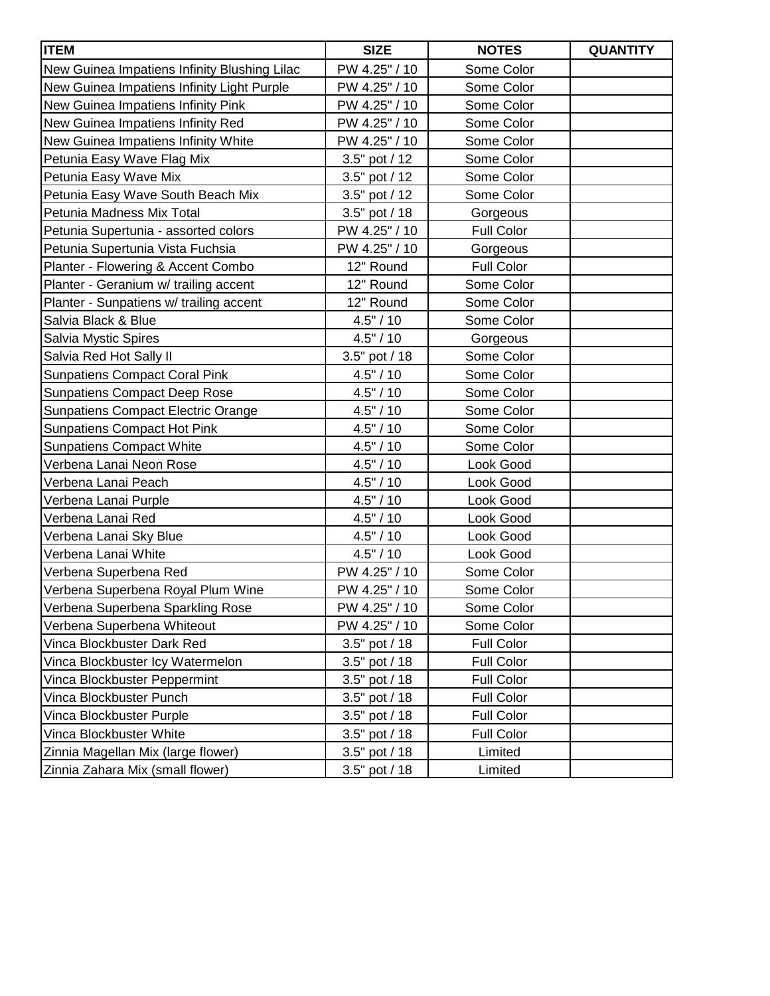| <b>ITEM</b>                                  | <b>SIZE</b>     | <b>NOTES</b>      | <b>QUANTITY</b> |
|----------------------------------------------|-----------------|-------------------|-----------------|
| New Guinea Impatiens Infinity Blushing Lilac | PW 4.25" / 10   | Some Color        |                 |
| New Guinea Impatiens Infinity Light Purple   | PW 4.25" / 10   | Some Color        |                 |
| New Guinea Impatiens Infinity Pink           | PW 4.25" / 10   | Some Color        |                 |
| New Guinea Impatiens Infinity Red            | PW 4.25" / 10   | Some Color        |                 |
| New Guinea Impatiens Infinity White          | PW 4.25" / 10   | Some Color        |                 |
| Petunia Easy Wave Flag Mix                   | 3.5" pot / 12   | Some Color        |                 |
| Petunia Easy Wave Mix                        | 3.5" pot / 12   | Some Color        |                 |
| Petunia Easy Wave South Beach Mix            | 3.5" pot / 12   | Some Color        |                 |
| Petunia Madness Mix Total                    | 3.5" pot / 18   | Gorgeous          |                 |
| Petunia Supertunia - assorted colors         | PW 4.25" / 10   | <b>Full Color</b> |                 |
| Petunia Supertunia Vista Fuchsia             | PW 4.25" / 10   | Gorgeous          |                 |
| Planter - Flowering & Accent Combo           | 12" Round       | Full Color        |                 |
| Planter - Geranium w/ trailing accent        | 12" Round       | Some Color        |                 |
| Planter - Sunpatiens w/ trailing accent      | 12" Round       | Some Color        |                 |
| Salvia Black & Blue                          | 4.5" / 10       | Some Color        |                 |
| Salvia Mystic Spires                         | 4.5" / 10       | Gorgeous          |                 |
| Salvia Red Hot Sally II                      | 3.5" pot / 18   | Some Color        |                 |
| <b>Sunpatiens Compact Coral Pink</b>         | 4.5" / 10       | Some Color        |                 |
| <b>Sunpatiens Compact Deep Rose</b>          | 4.5" / 10       | Some Color        |                 |
| <b>Sunpatiens Compact Electric Orange</b>    | 4.5" / 10       | Some Color        |                 |
| <b>Sunpatiens Compact Hot Pink</b>           | 4.5" / 10       | Some Color        |                 |
| <b>Sunpatiens Compact White</b>              | 4.5" / 10       | Some Color        |                 |
| Verbena Lanai Neon Rose                      | 4.5" / 10       | Look Good         |                 |
| Verbena Lanai Peach                          | 4.5" / 10       | Look Good         |                 |
| Verbena Lanai Purple                         | 4.5" / 10       | Look Good         |                 |
| Verbena Lanai Red                            | 4.5" / 10       | Look Good         |                 |
| Verbena Lanai Sky Blue                       | 4.5" / 10       | Look Good         |                 |
| Verbena Lanai White                          | 4.5" / 10       | Look Good         |                 |
| Verbena Superbena Red                        | PW 4.25" / 10   | Some Color        |                 |
| Verbena Superbena Royal Plum Wine            | PW 4.25" / 10   | Some Color        |                 |
| Verbena Superbena Sparkling Rose             | PW 4.25" / 10   | Some Color        |                 |
| Verbena Superbena Whiteout                   | PW 4.25" / 10   | Some Color        |                 |
| Vinca Blockbuster Dark Red                   | 3.5" pot / 18   | <b>Full Color</b> |                 |
| Vinca Blockbuster Icy Watermelon             | 3.5" pot / 18   | <b>Full Color</b> |                 |
| Vinca Blockbuster Peppermint                 | 3.5" pot / 18   | <b>Full Color</b> |                 |
| Vinca Blockbuster Punch                      | 3.5" pot / 18   | Full Color        |                 |
| Vinca Blockbuster Purple                     | 3.5" pot / 18   | <b>Full Color</b> |                 |
| Vinca Blockbuster White                      | $3.5"$ pot / 18 | <b>Full Color</b> |                 |
| Zinnia Magellan Mix (large flower)           | 3.5" pot / 18   | Limited           |                 |
| Zinnia Zahara Mix (small flower)             | 3.5" pot / 18   | Limited           |                 |